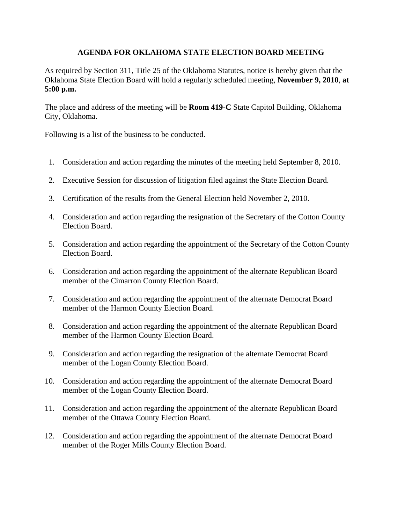## **AGENDA FOR OKLAHOMA STATE ELECTION BOARD MEETING**

As required by Section 311, Title 25 of the Oklahoma Statutes, notice is hereby given that the Oklahoma State Election Board will hold a regularly scheduled meeting, **November 9, 2010**, **at 5:00 p.m.**

The place and address of the meeting will be **Room 419-C** State Capitol Building, Oklahoma City, Oklahoma.

Following is a list of the business to be conducted.

- 1. Consideration and action regarding the minutes of the meeting held September 8, 2010.
- 2. Executive Session for discussion of litigation filed against the State Election Board.
- 3. Certification of the results from the General Election held November 2, 2010.
- 4. Consideration and action regarding the resignation of the Secretary of the Cotton County Election Board.
- 5. Consideration and action regarding the appointment of the Secretary of the Cotton County Election Board.
- 6. Consideration and action regarding the appointment of the alternate Republican Board member of the Cimarron County Election Board.
- 7. Consideration and action regarding the appointment of the alternate Democrat Board member of the Harmon County Election Board.
- 8. Consideration and action regarding the appointment of the alternate Republican Board member of the Harmon County Election Board.
- 9. Consideration and action regarding the resignation of the alternate Democrat Board member of the Logan County Election Board.
- 10. Consideration and action regarding the appointment of the alternate Democrat Board member of the Logan County Election Board.
- 11. Consideration and action regarding the appointment of the alternate Republican Board member of the Ottawa County Election Board.
- 12. Consideration and action regarding the appointment of the alternate Democrat Board member of the Roger Mills County Election Board.